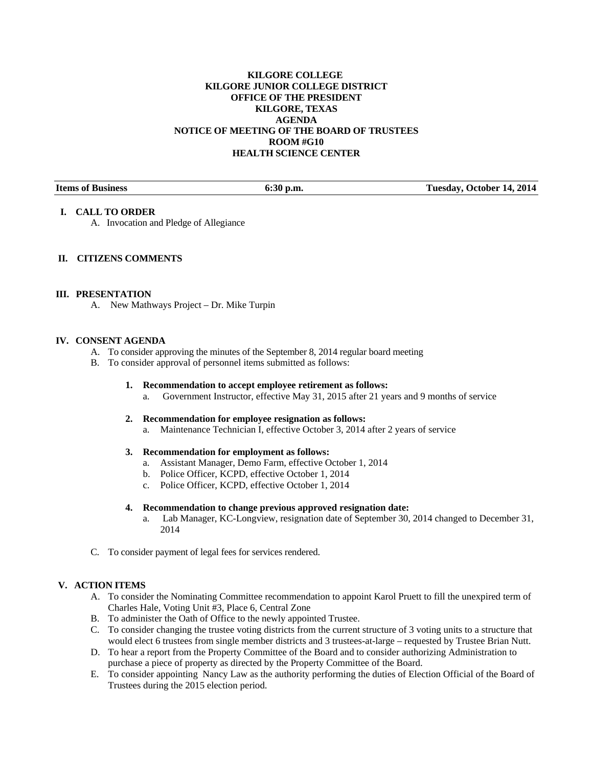## **KILGORE COLLEGE KILGORE JUNIOR COLLEGE DISTRICT OFFICE OF THE PRESIDENT KILGORE, TEXAS AGENDA NOTICE OF MEETING OF THE BOARD OF TRUSTEES ROOM #G10 HEALTH SCIENCE CENTER**

**Items of Business 6:30 p.m. Tuesday, October 14, 2014** 

## **I. CALL TO ORDER**

A. Invocation and Pledge of Allegiance

# **II. CITIZENS COMMENTS**

### **III. PRESENTATION**

A. New Mathways Project – Dr. Mike Turpin

### **IV. CONSENT AGENDA**

- A. To consider approving the minutes of the September 8, 2014 regular board meeting
- B. To consider approval of personnel items submitted as follows:
	- **1. Recommendation to accept employee retirement as follows:** 
		- a. Government Instructor, effective May 31, 2015 after 21 years and 9 months of service
	- **2. Recommendation for employee resignation as follows:** 
		- a. Maintenance Technician I, effective October 3, 2014 after 2 years of service

## **3. Recommendation for employment as follows:**

- a. Assistant Manager, Demo Farm, effective October 1, 2014
- b. Police Officer, KCPD, effective October 1, 2014
- c. Police Officer, KCPD, effective October 1, 2014

### **4. Recommendation to change previous approved resignation date:**

- a. Lab Manager, KC-Longview, resignation date of September 30, 2014 changed to December 31, 2014
- C. To consider payment of legal fees for services rendered.

# **V. ACTION ITEMS**

- A. To consider the Nominating Committee recommendation to appoint Karol Pruett to fill the unexpired term of Charles Hale, Voting Unit #3, Place 6, Central Zone
- B. To administer the Oath of Office to the newly appointed Trustee.
- C. To consider changing the trustee voting districts from the current structure of 3 voting units to a structure that would elect 6 trustees from single member districts and 3 trustees-at-large – requested by Trustee Brian Nutt.
- D. To hear a report from the Property Committee of the Board and to consider authorizing Administration to purchase a piece of property as directed by the Property Committee of the Board.
- E. To consider appointing Nancy Law as the authority performing the duties of Election Official of the Board of Trustees during the 2015 election period.